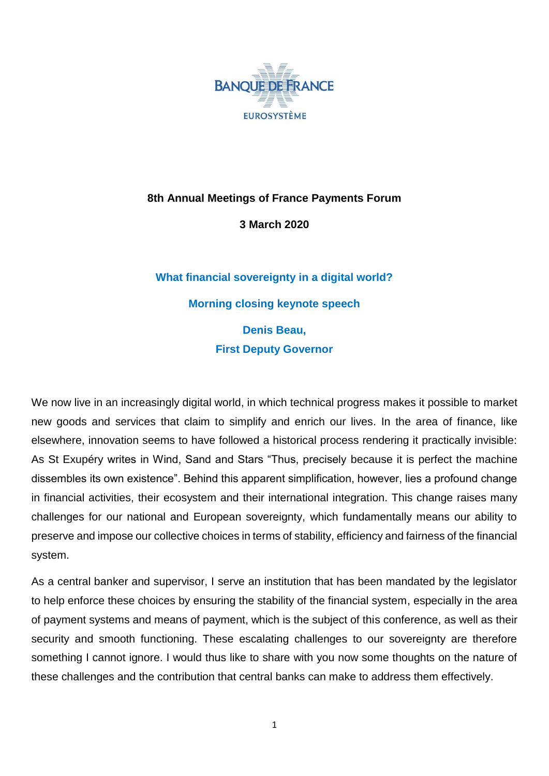

## **8th Annual Meetings of France Payments Forum**

**3 March 2020**

# **What financial sovereignty in a digital world? Morning closing keynote speech Denis Beau, First Deputy Governor**

We now live in an increasingly digital world, in which technical progress makes it possible to market new goods and services that claim to simplify and enrich our lives. In the area of finance, like elsewhere, innovation seems to have followed a historical process rendering it practically invisible: As St Exupéry writes in Wind, Sand and Stars "Thus, precisely because it is perfect the machine dissembles its own existence". Behind this apparent simplification, however, lies a profound change in financial activities, their ecosystem and their international integration. This change raises many challenges for our national and European sovereignty, which fundamentally means our ability to preserve and impose our collective choices in terms of stability, efficiency and fairness of the financial system.

As a central banker and supervisor, I serve an institution that has been mandated by the legislator to help enforce these choices by ensuring the stability of the financial system, especially in the area of payment systems and means of payment, which is the subject of this conference, as well as their security and smooth functioning. These escalating challenges to our sovereignty are therefore something I cannot ignore. I would thus like to share with you now some thoughts on the nature of these challenges and the contribution that central banks can make to address them effectively.

1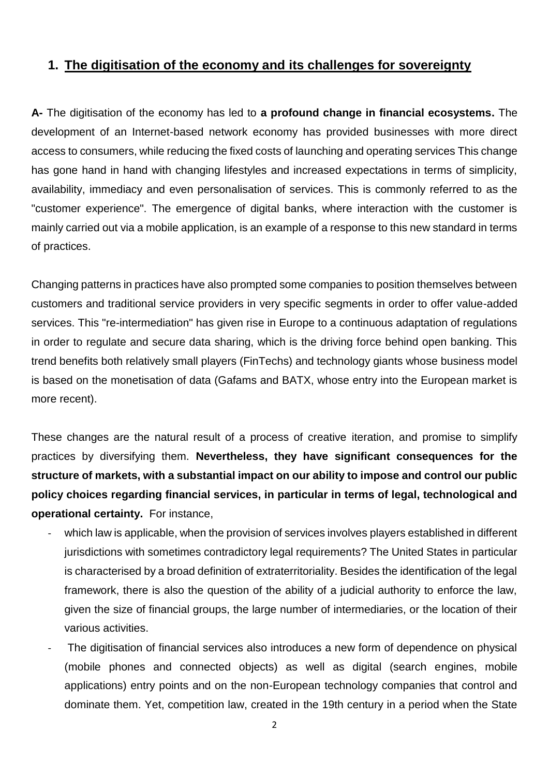### **1. The digitisation of the economy and its challenges for sovereignty**

**A-** The digitisation of the economy has led to **a profound change in financial ecosystems.** The development of an Internet-based network economy has provided businesses with more direct access to consumers, while reducing the fixed costs of launching and operating services This change has gone hand in hand with changing lifestyles and increased expectations in terms of simplicity, availability, immediacy and even personalisation of services. This is commonly referred to as the "customer experience". The emergence of digital banks, where interaction with the customer is mainly carried out via a mobile application, is an example of a response to this new standard in terms of practices.

Changing patterns in practices have also prompted some companies to position themselves between customers and traditional service providers in very specific segments in order to offer value-added services. This "re-intermediation" has given rise in Europe to a continuous adaptation of regulations in order to regulate and secure data sharing, which is the driving force behind open banking. This trend benefits both relatively small players (FinTechs) and technology giants whose business model is based on the monetisation of data (Gafams and BATX, whose entry into the European market is more recent).

These changes are the natural result of a process of creative iteration, and promise to simplify practices by diversifying them. **Nevertheless, they have significant consequences for the structure of markets, with a substantial impact on our ability to impose and control our public policy choices regarding financial services, in particular in terms of legal, technological and operational certainty.** For instance,

- which law is applicable, when the provision of services involves players established in different jurisdictions with sometimes contradictory legal requirements? The United States in particular is characterised by a broad definition of extraterritoriality. Besides the identification of the legal framework, there is also the question of the ability of a judicial authority to enforce the law, given the size of financial groups, the large number of intermediaries, or the location of their various activities.
- The digitisation of financial services also introduces a new form of dependence on physical (mobile phones and connected objects) as well as digital (search engines, mobile applications) entry points and on the non-European technology companies that control and dominate them. Yet, competition law, created in the 19th century in a period when the State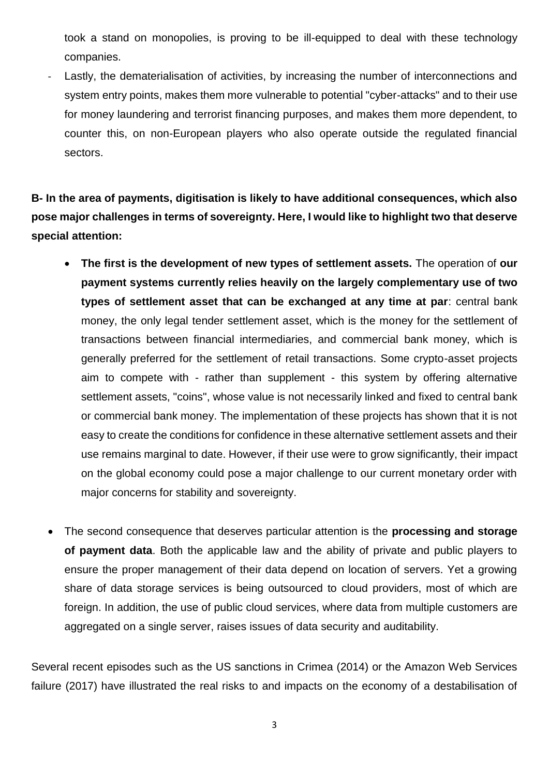took a stand on monopolies, is proving to be ill-equipped to deal with these technology companies.

Lastly, the dematerialisation of activities, by increasing the number of interconnections and system entry points, makes them more vulnerable to potential "cyber-attacks" and to their use for money laundering and terrorist financing purposes, and makes them more dependent, to counter this, on non-European players who also operate outside the regulated financial sectors.

**B- In the area of payments, digitisation is likely to have additional consequences, which also pose major challenges in terms of sovereignty. Here, I would like to highlight two that deserve special attention:**

- **The first is the development of new types of settlement assets.** The operation of **our payment systems currently relies heavily on the largely complementary use of two types of settlement asset that can be exchanged at any time at par**: central bank money, the only legal tender settlement asset, which is the money for the settlement of transactions between financial intermediaries, and commercial bank money, which is generally preferred for the settlement of retail transactions. Some crypto-asset projects aim to compete with - rather than supplement - this system by offering alternative settlement assets, "coins", whose value is not necessarily linked and fixed to central bank or commercial bank money. The implementation of these projects has shown that it is not easy to create the conditions for confidence in these alternative settlement assets and their use remains marginal to date. However, if their use were to grow significantly, their impact on the global economy could pose a major challenge to our current monetary order with major concerns for stability and sovereignty.
- The second consequence that deserves particular attention is the **processing and storage of payment data**. Both the applicable law and the ability of private and public players to ensure the proper management of their data depend on location of servers. Yet a growing share of data storage services is being outsourced to cloud providers, most of which are foreign. In addition, the use of public cloud services, where data from multiple customers are aggregated on a single server, raises issues of data security and auditability.

Several recent episodes such as the US sanctions in Crimea (2014) or the Amazon Web Services failure (2017) have illustrated the real risks to and impacts on the economy of a destabilisation of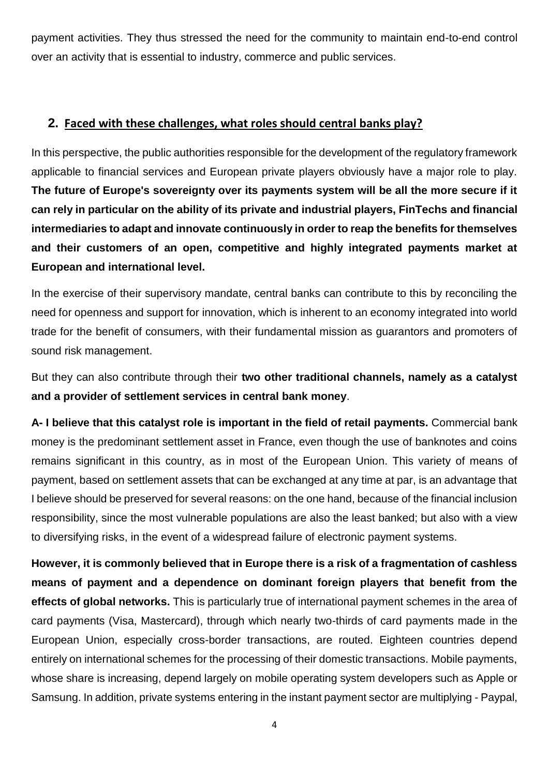payment activities. They thus stressed the need for the community to maintain end-to-end control over an activity that is essential to industry, commerce and public services.

#### **2. Faced with these challenges, what roles should central banks play?**

In this perspective, the public authorities responsible for the development of the regulatory framework applicable to financial services and European private players obviously have a major role to play. **The future of Europe's sovereignty over its payments system will be all the more secure if it can rely in particular on the ability of its private and industrial players, FinTechs and financial intermediaries to adapt and innovate continuously in order to reap the benefits for themselves and their customers of an open, competitive and highly integrated payments market at European and international level.**

In the exercise of their supervisory mandate, central banks can contribute to this by reconciling the need for openness and support for innovation, which is inherent to an economy integrated into world trade for the benefit of consumers, with their fundamental mission as guarantors and promoters of sound risk management.

But they can also contribute through their **two other traditional channels, namely as a catalyst and a provider of settlement services in central bank money**.

**A- I believe that this catalyst role is important in the field of retail payments.** Commercial bank money is the predominant settlement asset in France, even though the use of banknotes and coins remains significant in this country, as in most of the European Union. This variety of means of payment, based on settlement assets that can be exchanged at any time at par, is an advantage that I believe should be preserved for several reasons: on the one hand, because of the financial inclusion responsibility, since the most vulnerable populations are also the least banked; but also with a view to diversifying risks, in the event of a widespread failure of electronic payment systems.

**However, it is commonly believed that in Europe there is a risk of a fragmentation of cashless means of payment and a dependence on dominant foreign players that benefit from the effects of global networks.** This is particularly true of international payment schemes in the area of card payments (Visa, Mastercard), through which nearly two-thirds of card payments made in the European Union, especially cross-border transactions, are routed. Eighteen countries depend entirely on international schemes for the processing of their domestic transactions. Mobile payments, whose share is increasing, depend largely on mobile operating system developers such as Apple or Samsung. In addition, private systems entering in the instant payment sector are multiplying - Paypal,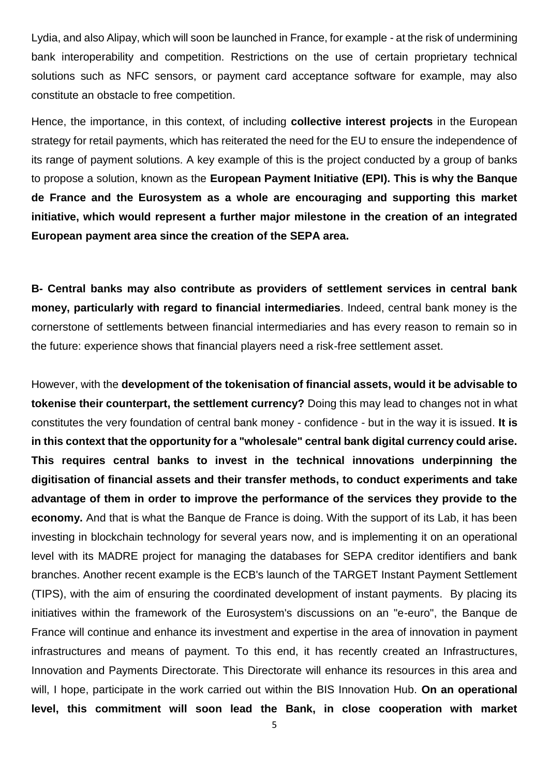Lydia, and also Alipay, which will soon be launched in France, for example - at the risk of undermining bank interoperability and competition. Restrictions on the use of certain proprietary technical solutions such as NFC sensors, or payment card acceptance software for example, may also constitute an obstacle to free competition.

Hence, the importance, in this context, of including **collective interest projects** in the European strategy for retail payments, which has reiterated the need for the EU to ensure the independence of its range of payment solutions. A key example of this is the project conducted by a group of banks to propose a solution, known as the **European Payment Initiative (EPI). This is why the Banque de France and the Eurosystem as a whole are encouraging and supporting this market initiative, which would represent a further major milestone in the creation of an integrated European payment area since the creation of the SEPA area.** 

**B- Central banks may also contribute as providers of settlement services in central bank money, particularly with regard to financial intermediaries**. Indeed, central bank money is the cornerstone of settlements between financial intermediaries and has every reason to remain so in the future: experience shows that financial players need a risk-free settlement asset.

However, with the **development of the tokenisation of financial assets, would it be advisable to tokenise their counterpart, the settlement currency?** Doing this may lead to changes not in what constitutes the very foundation of central bank money - confidence - but in the way it is issued. **It is in this context that the opportunity for a "wholesale" central bank digital currency could arise. This requires central banks to invest in the technical innovations underpinning the digitisation of financial assets and their transfer methods, to conduct experiments and take advantage of them in order to improve the performance of the services they provide to the economy.** And that is what the Banque de France is doing. With the support of its Lab, it has been investing in blockchain technology for several years now, and is implementing it on an operational level with its MADRE project for managing the databases for SEPA creditor identifiers and bank branches. Another recent example is the ECB's launch of the TARGET Instant Payment Settlement (TIPS), with the aim of ensuring the coordinated development of instant payments. By placing its initiatives within the framework of the Eurosystem's discussions on an "e-euro", the Banque de France will continue and enhance its investment and expertise in the area of innovation in payment infrastructures and means of payment. To this end, it has recently created an Infrastructures, Innovation and Payments Directorate. This Directorate will enhance its resources in this area and will, I hope, participate in the work carried out within the BIS Innovation Hub. **On an operational level, this commitment will soon lead the Bank, in close cooperation with market**